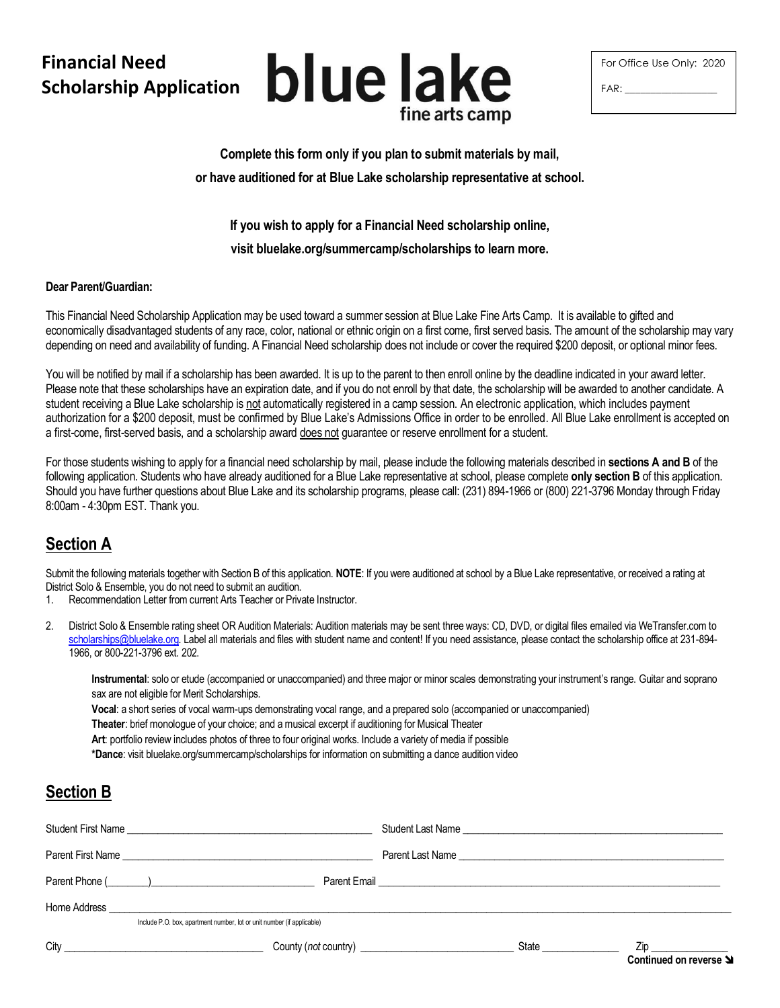## **Financial Need Scholarship Application**



| For Office Use Only: 2020 |  |
|---------------------------|--|
| FAR:                      |  |

**Complete this form only if you plan to submit materials by mail, or have auditioned for at Blue Lake scholarship representative at school.** 

**If you wish to apply for a Financial Need scholarship online,** 

**visit bluelake.org/summercamp/scholarships to learn more.**

## **Dear Parent/Guardian:**

This Financial Need Scholarship Application may be used toward a summer session at Blue Lake Fine Arts Camp. It is available to gifted and economically disadvantaged students of any race, color, national or ethnic origin on a first come, first served basis. The amount of the scholarship may vary depending on need and availability of funding. A Financial Need scholarship does not include or cover the required \$200 deposit, or optional minor fees.

You will be notified by mail if a scholarship has been awarded. It is up to the parent to then enroll online by the deadline indicated in your award letter. Please note that these scholarships have an expiration date, and if you do not enroll by that date, the scholarship will be awarded to another candidate. A student receiving a Blue Lake scholarship is not automatically registered in a camp session. An electronic application, which includes payment authorization for a \$200 deposit, must be confirmed by Blue Lake's Admissions Office in order to be enrolled. All Blue Lake enrollment is accepted on a first-come, first-served basis, and a scholarship award does not guarantee or reserve enrollment for a student.

For those students wishing to apply for a financial need scholarship by mail, please include the following materials described in **sections A and B** of the following application. Students who have already auditioned for a Blue Lake representative at school, please complete **only section B** of this application. Should you have further questions about Blue Lake and its scholarship programs, please call: (231) 894-1966 or (800) 221-3796 Monday through Friday 8:00am - 4:30pm EST. Thank you.

## **Section A**

Submit the following materials together with Section B of this application. **NOTE**: If you were auditioned at school by a Blue Lake representative, or received a rating at District Solo & Ensemble, you do not need to submit an audition.

- 1. Recommendation Letter from current Arts Teacher or Private Instructor.
- 2. District Solo & Ensemble rating sheet OR Audition Materials: Audition materials may be sent three ways: CD, DVD, or digital files emailed via WeTransfer.com to [scholarships@bluelake.org.](mailto:scholarships@bluelake.org) Label all materials and files with student name and content! If you need assistance, please contact the scholarship office at 231-894-1966, or 800-221-3796 ext. 202.

**Instrumental**: solo or etude (accompanied or unaccompanied) and three major or minor scales demonstrating your instrument's range. Guitar and soprano sax are not eligible for Merit Scholarships.

**Vocal**: a short series of vocal warm-ups demonstrating vocal range, and a prepared solo (accompanied or unaccompanied)

**Theater**: brief monologue of your choice; and a musical excerpt if auditioning for Musical Theater

**Art**: portfolio review includes photos of three to four original works. Include a variety of media if possible

**\*Dance**: visit bluelake.org/summercamp/scholarships for information on submitting a dance audition video

## **Section B**

| Student First Name                                                     |                          |                                                                                                                                          |
|------------------------------------------------------------------------|--------------------------|------------------------------------------------------------------------------------------------------------------------------------------|
| Parent First Name                                                      |                          |                                                                                                                                          |
| Parent Phone (Company)                                                 |                          |                                                                                                                                          |
| Include P.O. box, apartment number, lot or unit number (if applicable) |                          |                                                                                                                                          |
|                                                                        | State <b>State State</b> | Zip and the state of the state of the state of the state of the state of the state of the state of the state o<br>Continued on reverse 9 |